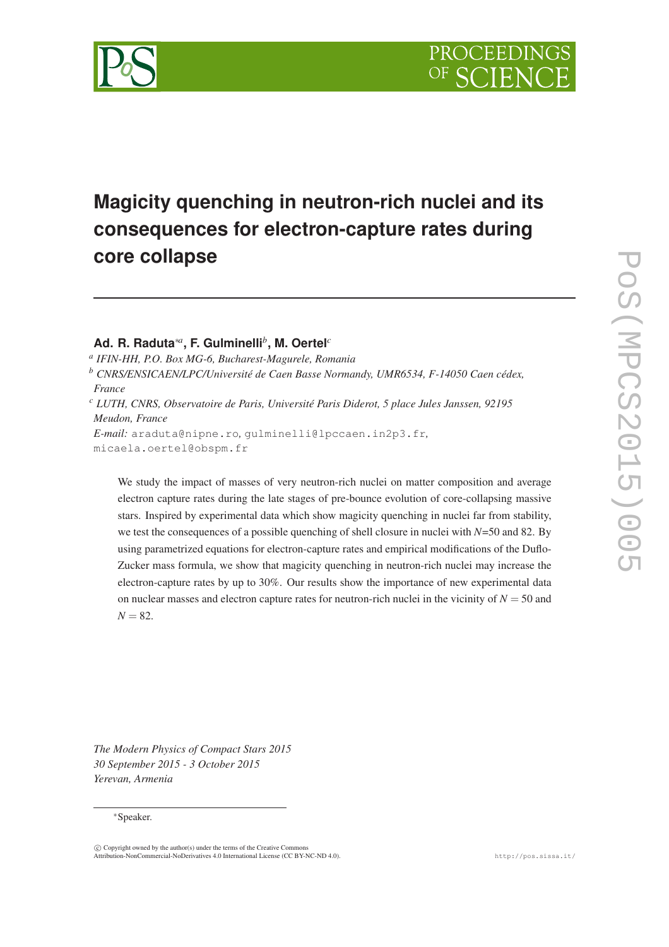

# **Magicity quenching in neutron-rich nuclei and its consequences for electron-capture rates during core collapse**

# **Ad. R. Raduta**∗*<sup>a</sup>* **, F. Gulminelli***<sup>b</sup>* **, M. Oertel***<sup>c</sup>*

*a IFIN-HH, P.O. Box MG-6, Bucharest-Magurele, Romania*

*<sup>b</sup> CNRS/ENSICAEN/LPC/Université de Caen Basse Normandy, UMR6534, F-14050 Caen cédex, France*

*<sup>c</sup> LUTH, CNRS, Observatoire de Paris, Université Paris Diderot, 5 place Jules Janssen, 92195 Meudon, France*

*E-mail:* araduta@nipne.ro*,* gulminelli@lpccaen.in2p3.fr*,* micaela.oertel@obspm.fr

We study the impact of masses of very neutron-rich nuclei on matter composition and average electron capture rates during the late stages of pre-bounce evolution of core-collapsing massive stars. Inspired by experimental data which show magicity quenching in nuclei far from stability, we test the consequences of a possible quenching of shell closure in nuclei with *N*=50 and 82. By using parametrized equations for electron-capture rates and empirical modifications of the Duflo-Zucker mass formula, we show that magicity quenching in neutron-rich nuclei may increase the electron-capture rates by up to 30%. Our results show the importance of new experimental data on nuclear masses and electron capture rates for neutron-rich nuclei in the vicinity of  $N = 50$  and  $N = 82$ .

*The Modern Physics of Compact Stars 2015 30 September 2015 - 3 October 2015 Yerevan, Armenia*

#### ∗Speaker.

 $\overline{c}$  Copyright owned by the author(s) under the terms of the Creative Commons Attribution-NonCommercial-NoDerivatives 4.0 International License (CC BY-NC-ND 4.0). http://pos.sissa.it/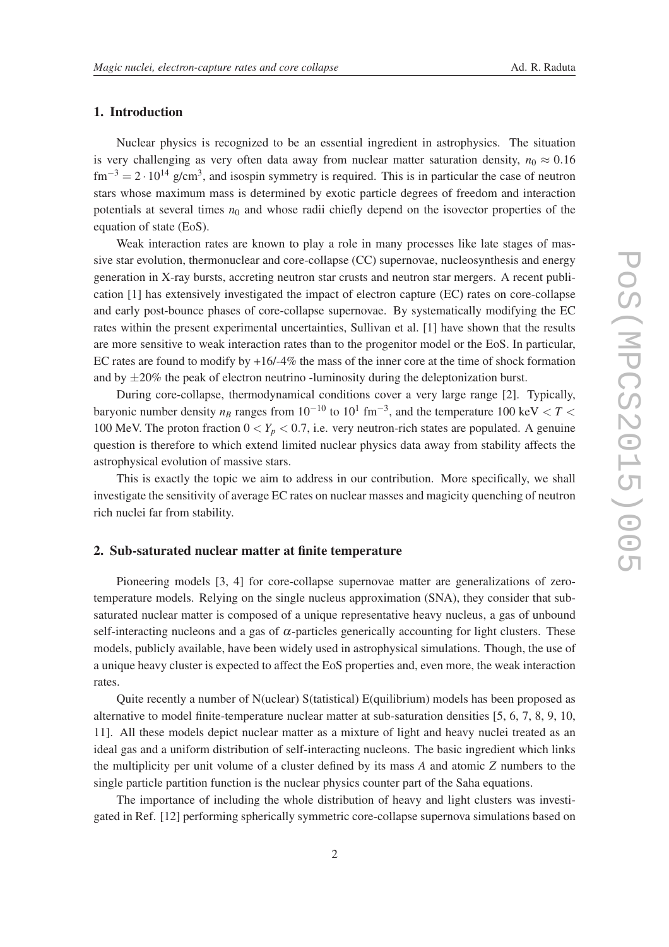# 1. Introduction

Nuclear physics is recognized to be an essential ingredient in astrophysics. The situation is very challenging as very often data away from nuclear matter saturation density,  $n_0 \approx 0.16$  $\text{fm}^{-3} = 2 \cdot 10^{14} \text{ g/cm}^3$ , and isospin symmetry is required. This is in particular the case of neutron stars whose maximum mass is determined by exotic particle degrees of freedom and interaction potentials at several times  $n_0$  and whose radii chiefly depend on the isovector properties of the equation of state (EoS).

Weak interaction rates are known to play a role in many processes like late stages of massive star evolution, thermonuclear and core-collapse (CC) supernovae, nucleosynthesis and energy generation in X-ray bursts, accreting neutron star crusts and neutron star mergers. A recent publication [1] has extensively investigated the impact of electron capture (EC) rates on core-collapse and early post-bounce phases of core-collapse supernovae. By systematically modifying the EC rates within the present experimental uncertainties, Sullivan et al. [1] have shown that the results are more sensitive to weak interaction rates than to the progenitor model or the EoS. In particular, EC rates are found to modify by  $+16/4\%$  the mass of the inner core at the time of shock formation and by  $\pm 20\%$  the peak of electron neutrino -luminosity during the deleptonization burst.

During core-collapse, thermodynamical conditions cover a very large range [2]. Typically, baryonic number density  $n_B$  ranges from  $10^{-10}$  to  $10^1$  fm<sup>-3</sup>, and the temperature 100 keV  $\lt T$   $\lt$ 100 MeV. The proton fraction  $0 < Y_p < 0.7$ , i.e. very neutron-rich states are populated. A genuine question is therefore to which extend limited nuclear physics data away from stability affects the astrophysical evolution of massive stars.

This is exactly the topic we aim to address in our contribution. More specifically, we shall investigate the sensitivity of average EC rates on nuclear masses and magicity quenching of neutron rich nuclei far from stability.

# 2. Sub-saturated nuclear matter at finite temperature

Pioneering models [3, 4] for core-collapse supernovae matter are generalizations of zerotemperature models. Relying on the single nucleus approximation (SNA), they consider that subsaturated nuclear matter is composed of a unique representative heavy nucleus, a gas of unbound self-interacting nucleons and a gas of  $\alpha$ -particles generically accounting for light clusters. These models, publicly available, have been widely used in astrophysical simulations. Though, the use of a unique heavy cluster is expected to affect the EoS properties and, even more, the weak interaction rates.

Quite recently a number of N(uclear) S(tatistical) E(quilibrium) models has been proposed as alternative to model finite-temperature nuclear matter at sub-saturation densities [5, 6, 7, 8, 9, 10, 11]. All these models depict nuclear matter as a mixture of light and heavy nuclei treated as an ideal gas and a uniform distribution of self-interacting nucleons. The basic ingredient which links the multiplicity per unit volume of a cluster defined by its mass *A* and atomic *Z* numbers to the single particle partition function is the nuclear physics counter part of the Saha equations.

The importance of including the whole distribution of heavy and light clusters was investigated in Ref. [12] performing spherically symmetric core-collapse supernova simulations based on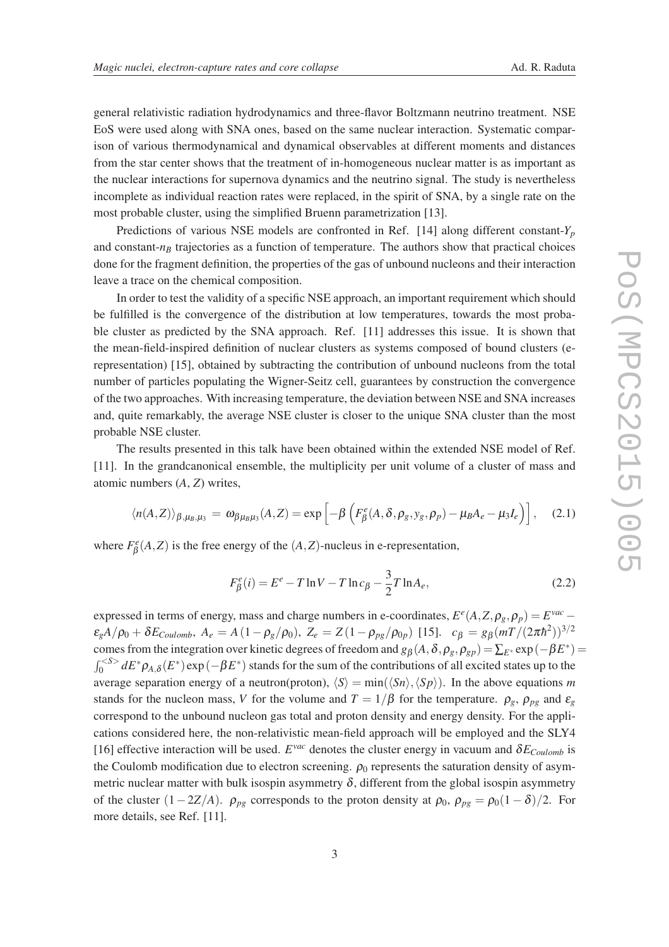general relativistic radiation hydrodynamics and three-flavor Boltzmann neutrino treatment. NSE EoS were used along with SNA ones, based on the same nuclear interaction. Systematic comparison of various thermodynamical and dynamical observables at different moments and distances from the star center shows that the treatment of in-homogeneous nuclear matter is as important as the nuclear interactions for supernova dynamics and the neutrino signal. The study is nevertheless incomplete as individual reaction rates were replaced, in the spirit of SNA, by a single rate on the most probable cluster, using the simplified Bruenn parametrization [13].

Predictions of various NSE models are confronted in Ref. [14] along different constant-*Y<sup>p</sup>* and constant- $n<sub>B</sub>$  trajectories as a function of temperature. The authors show that practical choices done for the fragment definition, the properties of the gas of unbound nucleons and their interaction leave a trace on the chemical composition.

In order to test the validity of a specific NSE approach, an important requirement which should be fulfilled is the convergence of the distribution at low temperatures, towards the most probable cluster as predicted by the SNA approach. Ref. [11] addresses this issue. It is shown that the mean-field-inspired definition of nuclear clusters as systems composed of bound clusters (erepresentation) [15], obtained by subtracting the contribution of unbound nucleons from the total number of particles populating the Wigner-Seitz cell, guarantees by construction the convergence of the two approaches. With increasing temperature, the deviation between NSE and SNA increases and, quite remarkably, the average NSE cluster is closer to the unique SNA cluster than the most probable NSE cluster.

The results presented in this talk have been obtained within the extended NSE model of Ref. [11]. In the grandcanonical ensemble, the multiplicity per unit volume of a cluster of mass and atomic numbers (*A*, *Z*) writes,

$$
\langle n(A,Z)\rangle_{\beta,\mu_B,\mu_3} = \omega_{\beta\mu_B\mu_3}(A,Z) = \exp\left[-\beta\left(F_\beta^e(A,\delta,\rho_g,y_g,\rho_p) - \mu_B A_e - \mu_3 I_e\right)\right],\tag{2.1}
$$

where  $F^e_{\beta}(A, Z)$  is the free energy of the  $(A, Z)$ -nucleus in e-representation,

$$
F_{\beta}^{e}(i) = E^{e} - T \ln V - T \ln c_{\beta} - \frac{3}{2} T \ln A_{e},
$$
\n(2.2)

expressed in terms of energy, mass and charge numbers in e-coordinates,  $E^e(A, Z, \rho_g, \rho_p) = E^{vac} \varepsilon_{g}A/\rho_{0} + \delta E_{Coulomb}$ ,  $A_{e} = A(1-\rho_{g}/\rho_{0})$ ,  $Z_{e} = Z(1-\rho_{pg}/\rho_{0p})$  [15].  $c_{\beta} = g_{\beta}(mT/(2\pi\hbar^{2}))^{3/2}$ comes from the integration over kinetic degrees of freedom and  $g_\beta(A, \delta, \rho_g, \rho_{gp}) = \sum_{E^*} \exp(-\beta E^*) =$  $\int_0^{< S>} dE^* \rho_{A,\delta}(E^*) \exp(-\beta E^*)$  stands for the sum of the contributions of all excited states up to the average separation energy of a neutron(proton),  $\langle S \rangle = \min(\langle Sn \rangle, \langle Sp \rangle)$ . In the above equations *m* stands for the nucleon mass, *V* for the volume and  $T = 1/\beta$  for the temperature.  $\rho_g$ ,  $\rho_{pg}$  and  $\varepsilon_g$ correspond to the unbound nucleon gas total and proton density and energy density. For the applications considered here, the non-relativistic mean-field approach will be employed and the SLY4 [16] effective interaction will be used.  $E^{vac}$  denotes the cluster energy in vacuum and  $\delta E_{Coulomb}$  is the Coulomb modification due to electron screening.  $\rho_0$  represents the saturation density of asymmetric nuclear matter with bulk isospin asymmetry  $\delta$ , different from the global isospin asymmetry of the cluster  $(1-2Z/A)$ .  $\rho_{pg}$  corresponds to the proton density at  $\rho_0$ ,  $\rho_{pg} = \rho_0(1-\delta)/2$ . For more details, see Ref. [11].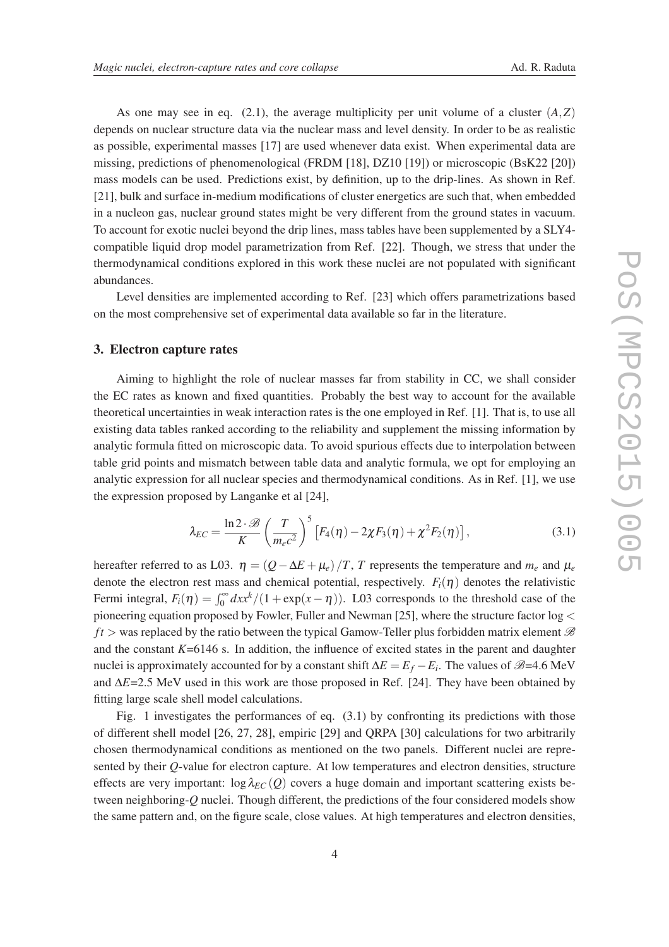As one may see in eq.  $(2.1)$ , the average multiplicity per unit volume of a cluster  $(A,Z)$ depends on nuclear structure data via the nuclear mass and level density. In order to be as realistic as possible, experimental masses [17] are used whenever data exist. When experimental data are missing, predictions of phenomenological (FRDM [18], DZ10 [19]) or microscopic (BsK22 [20]) mass models can be used. Predictions exist, by definition, up to the drip-lines. As shown in Ref. [21], bulk and surface in-medium modifications of cluster energetics are such that, when embedded in a nucleon gas, nuclear ground states might be very different from the ground states in vacuum. To account for exotic nuclei beyond the drip lines, mass tables have been supplemented by a SLY4 compatible liquid drop model parametrization from Ref. [22]. Though, we stress that under the thermodynamical conditions explored in this work these nuclei are not populated with significant abundances.

Level densities are implemented according to Ref. [23] which offers parametrizations based on the most comprehensive set of experimental data available so far in the literature.

#### 3. Electron capture rates

Aiming to highlight the role of nuclear masses far from stability in CC, we shall consider the EC rates as known and fixed quantities. Probably the best way to account for the available theoretical uncertainties in weak interaction rates is the one employed in Ref. [1]. That is, to use all existing data tables ranked according to the reliability and supplement the missing information by analytic formula fitted on microscopic data. To avoid spurious effects due to interpolation between table grid points and mismatch between table data and analytic formula, we opt for employing an analytic expression for all nuclear species and thermodynamical conditions. As in Ref. [1], we use the expression proposed by Langanke et al [24],

$$
\lambda_{EC} = \frac{\ln 2 \cdot \mathscr{B}}{K} \left( \frac{T}{m_e c^2} \right)^5 \left[ F_4(\eta) - 2\chi F_3(\eta) + \chi^2 F_2(\eta) \right],\tag{3.1}
$$

hereafter referred to as L03.  $\eta = (Q - \Delta E + \mu_e)/T$ , *T* represents the temperature and  $m_e$  and  $\mu_e$ denote the electron rest mass and chemical potential, respectively.  $F_i(\eta)$  denotes the relativistic Fermi integral,  $F_i(\eta) = \int_0^\infty dx x^k/(1 + \exp(x - \eta))$ . L03 corresponds to the threshold case of the pioneering equation proposed by Fowler, Fuller and Newman [25], where the structure factor log <  $ft$  > was replaced by the ratio between the typical Gamow-Teller plus forbidden matrix element  $\mathscr B$ and the constant  $K=6146$  s. In addition, the influence of excited states in the parent and daughter nuclei is approximately accounted for by a constant shift  $\Delta E = E_f - E_i$ . The values of  $\mathcal{B}$ =4.6 MeV and ∆*E*=2.5 MeV used in this work are those proposed in Ref. [24]. They have been obtained by fitting large scale shell model calculations.

Fig. 1 investigates the performances of eq. (3.1) by confronting its predictions with those of different shell model [26, 27, 28], empiric [29] and QRPA [30] calculations for two arbitrarily chosen thermodynamical conditions as mentioned on the two panels. Different nuclei are represented by their *Q*-value for electron capture. At low temperatures and electron densities, structure effects are very important:  $\log \lambda_{EC}(Q)$  covers a huge domain and important scattering exists between neighboring-*Q* nuclei. Though different, the predictions of the four considered models show the same pattern and, on the figure scale, close values. At high temperatures and electron densities,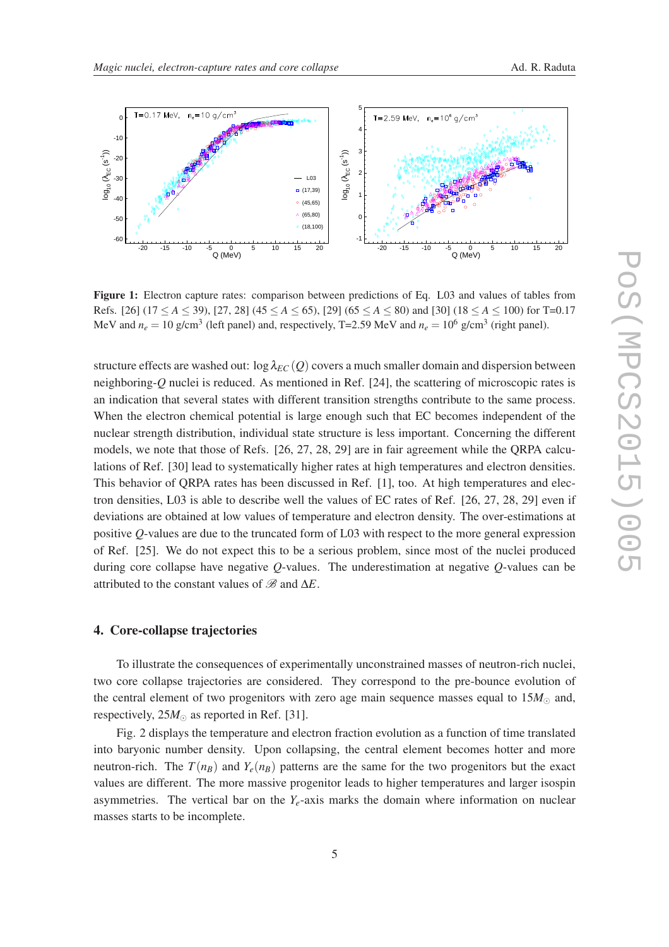



Figure 1: Electron capture rates: comparison between predictions of Eq. L03 and values of tables from Refs. [26]  $(17 \le A \le 39)$ , [27, 28]  $(45 \le A \le 65)$ , [29]  $(65 \le A \le 80)$  and [30]  $(18 \le A \le 100)$  for T=0.17 MeV and  $n_e = 10$  g/cm<sup>3</sup> (left panel) and, respectively, T=2.59 MeV and  $n_e = 10^6$  g/cm<sup>3</sup> (right panel).

structure effects are washed out:  $\log \lambda_{EC}(Q)$  covers a much smaller domain and dispersion between neighboring-*Q* nuclei is reduced. As mentioned in Ref. [24], the scattering of microscopic rates is an indication that several states with different transition strengths contribute to the same process. When the electron chemical potential is large enough such that EC becomes independent of the nuclear strength distribution, individual state structure is less important. Concerning the different models, we note that those of Refs. [26, 27, 28, 29] are in fair agreement while the QRPA calculations of Ref. [30] lead to systematically higher rates at high temperatures and electron densities. This behavior of QRPA rates has been discussed in Ref. [1], too. At high temperatures and electron densities, L03 is able to describe well the values of EC rates of Ref. [26, 27, 28, 29] even if deviations are obtained at low values of temperature and electron density. The over-estimations at positive *Q*-values are due to the truncated form of L03 with respect to the more general expression of Ref. [25]. We do not expect this to be a serious problem, since most of the nuclei produced during core collapse have negative *Q*-values. The underestimation at negative *Q*-values can be attributed to the constant values of  $\mathscr{B}$  and  $\Delta E$ .

#### 4. Core-collapse trajectories

To illustrate the consequences of experimentally unconstrained masses of neutron-rich nuclei, two core collapse trajectories are considered. They correspond to the pre-bounce evolution of the central element of two progenitors with zero age main sequence masses equal to  $15M_{\odot}$  and, respectively,  $25M_{\odot}$  as reported in Ref. [31].

Fig. 2 displays the temperature and electron fraction evolution as a function of time translated into baryonic number density. Upon collapsing, the central element becomes hotter and more neutron-rich. The  $T(n)$  and  $Y_e(n)$  patterns are the same for the two progenitors but the exact values are different. The more massive progenitor leads to higher temperatures and larger isospin asymmetries. The vertical bar on the *Ye*-axis marks the domain where information on nuclear masses starts to be incomplete.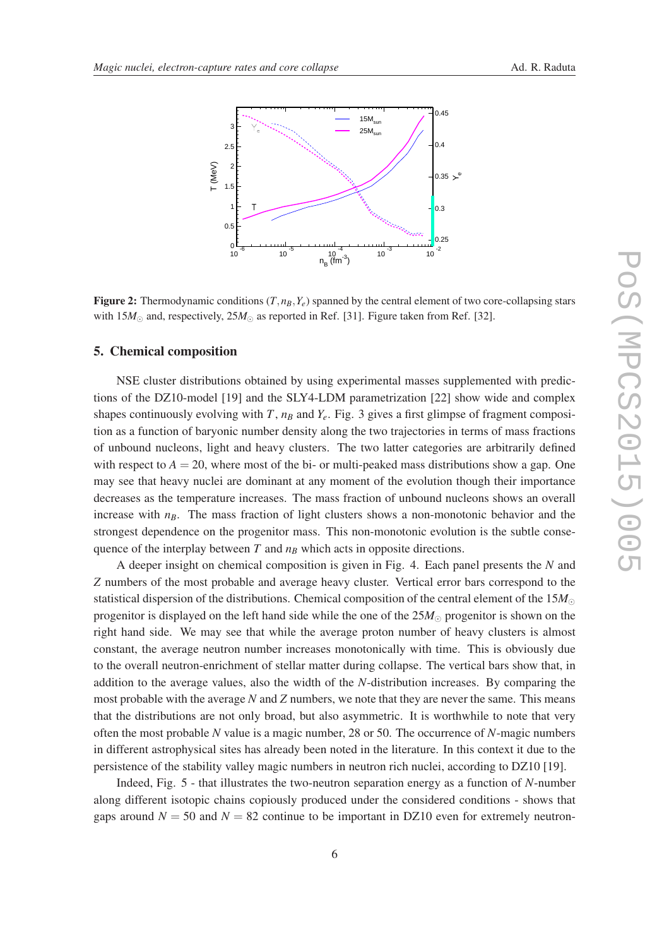

Figure 2: Thermodynamic conditions  $(T, n_B, Y_e)$  spanned by the central element of two core-collapsing stars with  $15M_{\odot}$  and, respectively,  $25M_{\odot}$  as reported in Ref. [31]. Figure taken from Ref. [32].

#### 5. Chemical composition

NSE cluster distributions obtained by using experimental masses supplemented with predictions of the DZ10-model [19] and the SLY4-LDM parametrization [22] show wide and complex shapes continuously evolving with *T*,  $n<sub>B</sub>$  and  $Y<sub>e</sub>$ . Fig. 3 gives a first glimpse of fragment composition as a function of baryonic number density along the two trajectories in terms of mass fractions of unbound nucleons, light and heavy clusters. The two latter categories are arbitrarily defined with respect to  $A = 20$ , where most of the bi- or multi-peaked mass distributions show a gap. One may see that heavy nuclei are dominant at any moment of the evolution though their importance decreases as the temperature increases. The mass fraction of unbound nucleons shows an overall increase with  $n<sub>B</sub>$ . The mass fraction of light clusters shows a non-monotonic behavior and the strongest dependence on the progenitor mass. This non-monotonic evolution is the subtle consequence of the interplay between  $T$  and  $n<sub>B</sub>$  which acts in opposite directions.

A deeper insight on chemical composition is given in Fig. 4. Each panel presents the *N* and *Z* numbers of the most probable and average heavy cluster. Vertical error bars correspond to the statistical dispersion of the distributions. Chemical composition of the central element of the 15*M*<sup>⊙</sup> progenitor is displayed on the left hand side while the one of the 25*M*<sup>⊙</sup> progenitor is shown on the right hand side. We may see that while the average proton number of heavy clusters is almost constant, the average neutron number increases monotonically with time. This is obviously due to the overall neutron-enrichment of stellar matter during collapse. The vertical bars show that, in addition to the average values, also the width of the *N*-distribution increases. By comparing the most probable with the average *N* and *Z* numbers, we note that they are never the same. This means that the distributions are not only broad, but also asymmetric. It is worthwhile to note that very often the most probable *N* value is a magic number, 28 or 50. The occurrence of *N*-magic numbers in different astrophysical sites has already been noted in the literature. In this context it due to the persistence of the stability valley magic numbers in neutron rich nuclei, according to DZ10 [19].

Indeed, Fig. 5 - that illustrates the two-neutron separation energy as a function of *N*-number along different isotopic chains copiously produced under the considered conditions - shows that gaps around  $N = 50$  and  $N = 82$  continue to be important in DZ10 even for extremely neutron-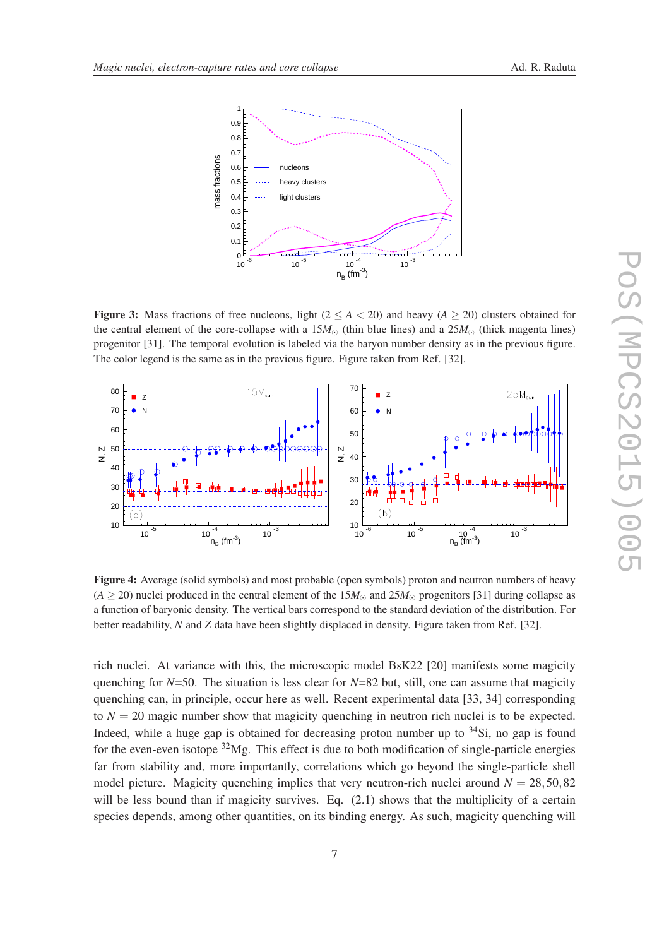

**Figure 3:** Mass fractions of free nucleons, light  $(2 < A < 20)$  and heavy  $(A > 20)$  clusters obtained for the central element of the core-collapse with a  $15M_{\odot}$  (thin blue lines) and a  $25M_{\odot}$  (thick magenta lines) progenitor [31]. The temporal evolution is labeled via the baryon number density as in the previous figure. The color legend is the same as in the previous figure. Figure taken from Ref. [32].



Figure 4: Average (solid symbols) and most probable (open symbols) proton and neutron numbers of heavy  $(A \ge 20)$  nuclei produced in the central element of the 15*M*<sub>⊙</sub> and 25*M*<sub>⊙</sub> progenitors [31] during collapse as a function of baryonic density. The vertical bars correspond to the standard deviation of the distribution. For better readability, *N* and *Z* data have been slightly displaced in density. Figure taken from Ref. [32].

rich nuclei. At variance with this, the microscopic model BsK22 [20] manifests some magicity quenching for *N*=50. The situation is less clear for *N*=82 but, still, one can assume that magicity quenching can, in principle, occur here as well. Recent experimental data [33, 34] corresponding to  $N = 20$  magic number show that magicity quenching in neutron rich nuclei is to be expected. Indeed, while a huge gap is obtained for decreasing proton number up to  $34\text{Si}$ , no gap is found for the even-even isotope  $32\text{Mg}$ . This effect is due to both modification of single-particle energies far from stability and, more importantly, correlations which go beyond the single-particle shell model picture. Magicity quenching implies that very neutron-rich nuclei around  $N = 28,50,82$ will be less bound than if magicity survives. Eq.  $(2.1)$  shows that the multiplicity of a certain species depends, among other quantities, on its binding energy. As such, magicity quenching will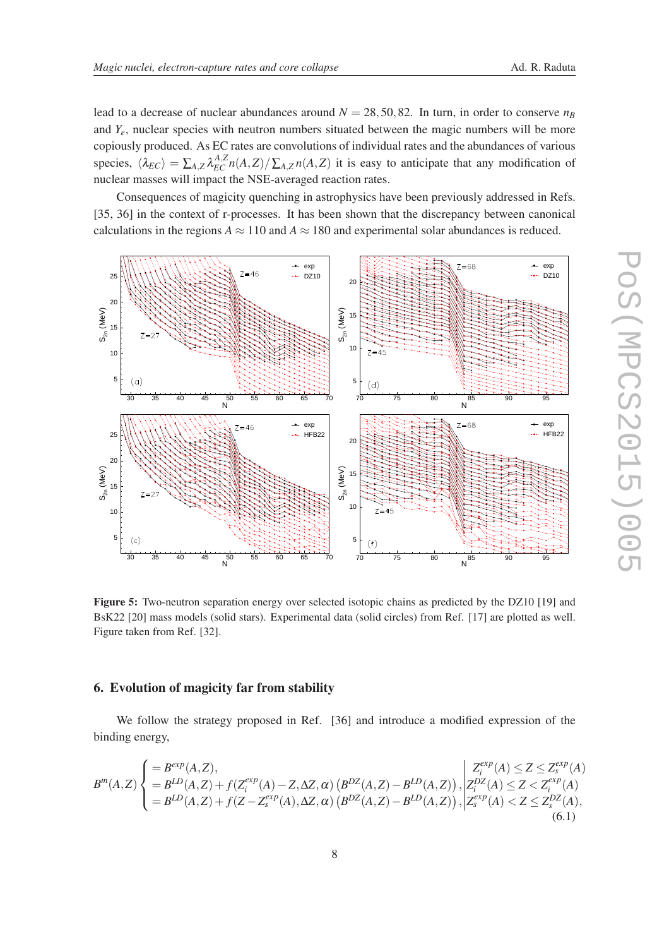lead to a decrease of nuclear abundances around  $N = 28,50,82$ . In turn, in order to conserve  $n_B$ and *Y<sub>e</sub>*, nuclear species with neutron numbers situated between the magic numbers will be more copiously produced. As EC rates are convolutions of individual rates and the abundances of various species,  $\langle \lambda_{EC} \rangle = \sum_{A,Z} \lambda_{EC}^{A,Z} n(A,Z) / \sum_{A,Z} n(A,Z)$  it is easy to anticipate that any modification of nuclear masses will impact the NSE-averaged reaction rates.

Consequences of magicity quenching in astrophysics have been previously addressed in Refs. [35, 36] in the context of r-processes. It has been shown that the discrepancy between canonical calculations in the regions  $A \approx 110$  and  $A \approx 180$  and experimental solar abundances is reduced.



Figure 5: Two-neutron separation energy over selected isotopic chains as predicted by the DZ10 [19] and BsK22 [20] mass models (solid stars). Experimental data (solid circles) from Ref. [17] are plotted as well. Figure taken from Ref. [32].

# 6. Evolution of magicity far from stability

We follow the strategy proposed in Ref. [36] and introduce a modified expression of the binding energy,

$$
B^{m}(A, Z) \begin{cases} = B^{exp}(A, Z), \\ = B^{LD}(A, Z) + f(Z_{i}^{exp}(A) - Z, \Delta Z, \alpha) \left( B^{DZ}(A, Z) - B^{LD}(A, Z) \right), \ Z_{i}^{DZ}(A) \le Z \le Z_{s}^{exp}(A) \\ = B^{LD}(A, Z) + f(Z - Z_{s}^{exp}(A), \Delta Z, \alpha) \left( B^{DZ}(A, Z) - B^{LD}(A, Z) \right), \ Z_{s}^{exp}(A) < Z \le Z_{s}^{exp}(A), \end{cases} \tag{6.1}
$$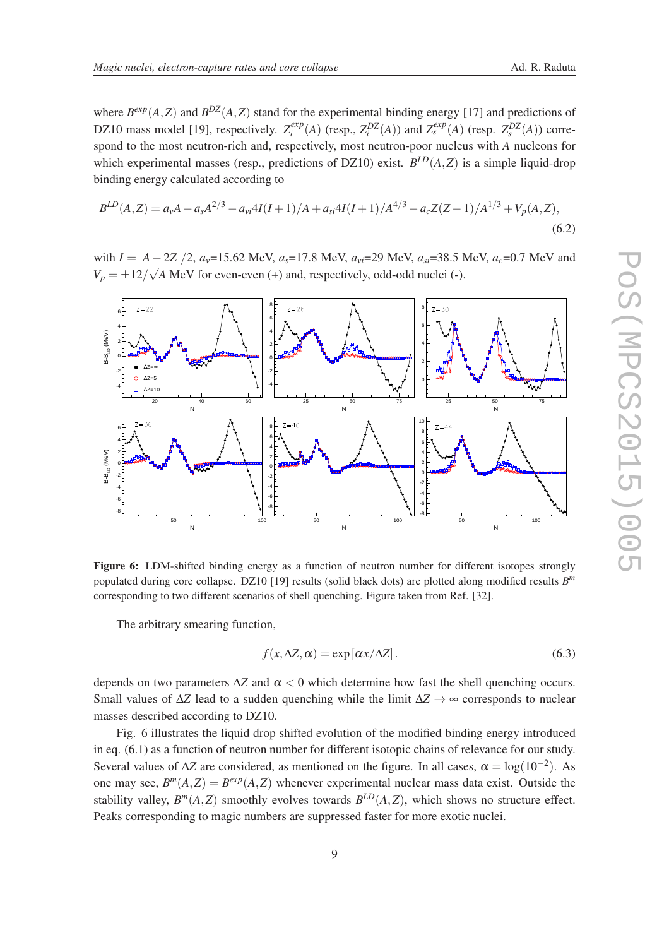where  $B^{exp}(A, Z)$  and  $B^{DZ}(A, Z)$  stand for the experimental binding energy [17] and predictions of DZ10 mass model [19], respectively.  $Z_i^{exp}$  $\chi_i^{exp}(A)$  (resp.,  $Z_i^{DZ}(A)$ ) and  $Z_s^{exp}(A)$  (resp.  $Z_s^{DZ}(A)$ ) correspond to the most neutron-rich and, respectively, most neutron-poor nucleus with *A* nucleons for which experimental masses (resp., predictions of DZ10) exist.  $B^{LD}(A,Z)$  is a simple liquid-drop binding energy calculated according to

$$
B^{LD}(A,Z) = a_v A - a_s A^{2/3} - a_{vi} 4I(I+1)/A + a_{si} 4I(I+1)/A^{4/3} - a_c Z(Z-1)/A^{1/3} + V_p(A,Z),
$$
\n(6.2)

with  $I = |A - 2Z|/2$ ,  $a_v = 15.62$  MeV,  $a_s = 17.8$  MeV,  $a_{vi} = 29$  MeV,  $a_{si} = 38.5$  MeV,  $a_c = 0.7$  MeV and  $V_p = \pm 12/\sqrt{A}$  MeV for even-even (+) and, respectively, odd-odd nuclei (-).



Figure 6: LDM-shifted binding energy as a function of neutron number for different isotopes strongly populated during core collapse. DZ10 [19] results (solid black dots) are plotted along modified results *B m* corresponding to two different scenarios of shell quenching. Figure taken from Ref. [32].

The arbitrary smearing function,

$$
f(x, \Delta Z, \alpha) = \exp[\alpha x/\Delta Z]. \qquad (6.3)
$$

depends on two parameters  $\Delta Z$  and  $\alpha < 0$  which determine how fast the shell quenching occurs. Small values of ∆*Z* lead to a sudden quenching while the limit ∆*Z* → ∞ corresponds to nuclear masses described according to DZ10.

Fig. 6 illustrates the liquid drop shifted evolution of the modified binding energy introduced in eq. (6.1) as a function of neutron number for different isotopic chains of relevance for our study. Several values of  $\Delta Z$  are considered, as mentioned on the figure. In all cases,  $\alpha = \log(10^{-2})$ . As one may see,  $B^m(A,Z) = B^{exp}(A,Z)$  whenever experimental nuclear mass data exist. Outside the stability valley,  $B^m(A,Z)$  smoothly evolves towards  $B^{LD}(A,Z)$ , which shows no structure effect. Peaks corresponding to magic numbers are suppressed faster for more exotic nuclei.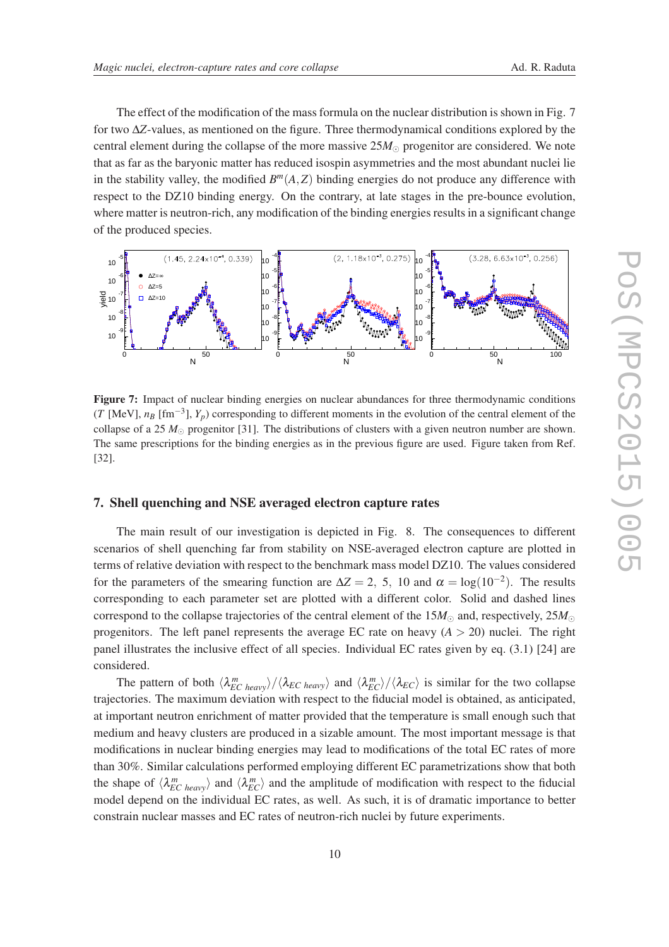The effect of the modification of the mass formula on the nuclear distribution is shown in Fig. 7 for two ∆*Z*-values, as mentioned on the figure. Three thermodynamical conditions explored by the central element during the collapse of the more massive  $25M_{\odot}$  progenitor are considered. We note that as far as the baryonic matter has reduced isospin asymmetries and the most abundant nuclei lie in the stability valley, the modified  $B^m(A, Z)$  binding energies do not produce any difference with respect to the DZ10 binding energy. On the contrary, at late stages in the pre-bounce evolution, where matter is neutron-rich, any modification of the binding energies results in a significant change of the produced species.



Figure 7: Impact of nuclear binding energies on nuclear abundances for three thermodynamic conditions  $(T \text{ [MeV]}, n_B \text{ [fm}^{-3}], Y_p)$  corresponding to different moments in the evolution of the central element of the collapse of a 25  $M_{\odot}$  progenitor [31]. The distributions of clusters with a given neutron number are shown. The same prescriptions for the binding energies as in the previous figure are used. Figure taken from Ref. [32].

#### 7. Shell quenching and NSE averaged electron capture rates

The main result of our investigation is depicted in Fig. 8. The consequences to different scenarios of shell quenching far from stability on NSE-averaged electron capture are plotted in terms of relative deviation with respect to the benchmark mass model DZ10. The values considered for the parameters of the smearing function are  $\Delta Z = 2$ , 5, 10 and  $\alpha = \log(10^{-2})$ . The results corresponding to each parameter set are plotted with a different color. Solid and dashed lines correspond to the collapse trajectories of the central element of the 15 $M_{\odot}$  and, respectively, 25 $M_{\odot}$ progenitors. The left panel represents the average EC rate on heavy  $(A > 20)$  nuclei. The right panel illustrates the inclusive effect of all species. Individual EC rates given by eq. (3.1) [24] are considered.

The pattern of both  $\langle \lambda_{EC \text{heavy}}^m \rangle / \langle \lambda_{EC \text{heavy}} \rangle$  and  $\langle \lambda_{EC}^m \rangle / \langle \lambda_{EC} \rangle$  is similar for the two collapse trajectories. The maximum deviation with respect to the fiducial model is obtained, as anticipated, at important neutron enrichment of matter provided that the temperature is small enough such that medium and heavy clusters are produced in a sizable amount. The most important message is that modifications in nuclear binding energies may lead to modifications of the total EC rates of more than 30%. Similar calculations performed employing different EC parametrizations show that both the shape of  $\langle \lambda_{EC\ heavy}^m \rangle$  and  $\langle \lambda_{EC}^m \rangle$  and the amplitude of modification with respect to the fiducial model depend on the individual EC rates, as well. As such, it is of dramatic importance to better constrain nuclear masses and EC rates of neutron-rich nuclei by future experiments.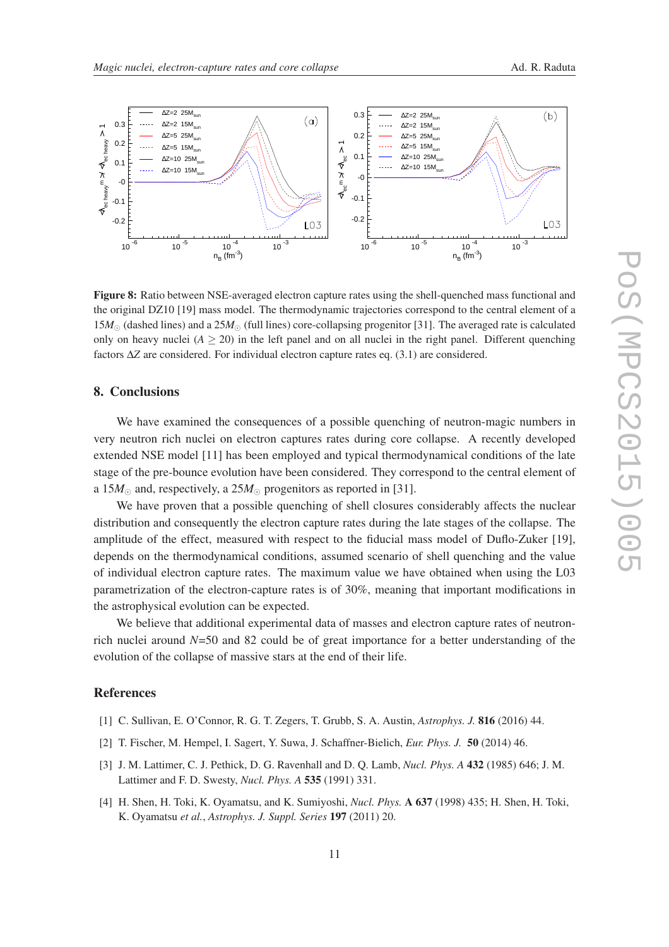

Figure 8: Ratio between NSE-averaged electron capture rates using the shell-quenched mass functional and the original DZ10 [19] mass model. The thermodynamic trajectories correspond to the central element of a 15*M*<sup>⊙</sup> (dashed lines) and a 25*M*<sup>⊙</sup> (full lines) core-collapsing progenitor [31]. The averaged rate is calculated only on heavy nuclei  $(A \ge 20)$  in the left panel and on all nuclei in the right panel. Different quenching factors ∆*Z* are considered. For individual electron capture rates eq. (3.1) are considered.

# 8. Conclusions

We have examined the consequences of a possible quenching of neutron-magic numbers in very neutron rich nuclei on electron captures rates during core collapse. A recently developed extended NSE model [11] has been employed and typical thermodynamical conditions of the late stage of the pre-bounce evolution have been considered. They correspond to the central element of a 15*M*<sup>⊙</sup> and, respectively, a 25*M*<sup>⊙</sup> progenitors as reported in [31].

We have proven that a possible quenching of shell closures considerably affects the nuclear distribution and consequently the electron capture rates during the late stages of the collapse. The amplitude of the effect, measured with respect to the fiducial mass model of Duflo-Zuker [19], depends on the thermodynamical conditions, assumed scenario of shell quenching and the value of individual electron capture rates. The maximum value we have obtained when using the L03 parametrization of the electron-capture rates is of 30%, meaning that important modifications in the astrophysical evolution can be expected.

We believe that additional experimental data of masses and electron capture rates of neutronrich nuclei around *N*=50 and 82 could be of great importance for a better understanding of the evolution of the collapse of massive stars at the end of their life.

#### References

- [1] C. Sullivan, E. O'Connor, R. G. T. Zegers, T. Grubb, S. A. Austin, *Astrophys. J.* 816 (2016) 44.
- [2] T. Fischer, M. Hempel, I. Sagert, Y. Suwa, J. Schaffner-Bielich, *Eur. Phys. J.* 50 (2014) 46.
- [3] J. M. Lattimer, C. J. Pethick, D. G. Ravenhall and D. Q. Lamb, *Nucl. Phys. A* 432 (1985) 646; J. M. Lattimer and F. D. Swesty, *Nucl. Phys. A* 535 (1991) 331.
- [4] H. Shen, H. Toki, K. Oyamatsu, and K. Sumiyoshi, *Nucl. Phys.* A 637 (1998) 435; H. Shen, H. Toki, K. Oyamatsu *et al.*, *Astrophys. J. Suppl. Series* 197 (2011) 20.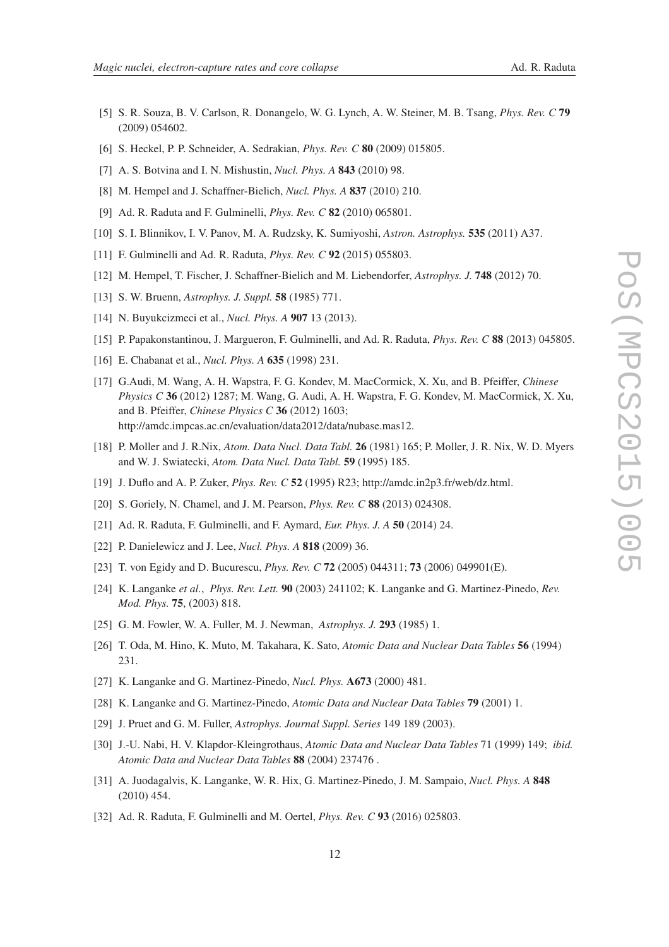- [5] S. R. Souza, B. V. Carlson, R. Donangelo, W. G. Lynch, A. W. Steiner, M. B. Tsang, *Phys. Rev. C* 79 (2009) 054602.
- [6] S. Heckel, P. P. Schneider, A. Sedrakian, *Phys. Rev. C* 80 (2009) 015805.
- [7] A. S. Botvina and I. N. Mishustin, *Nucl. Phys. A* 843 (2010) 98.
- [8] M. Hempel and J. Schaffner-Bielich, *Nucl. Phys. A* 837 (2010) 210.
- [9] Ad. R. Raduta and F. Gulminelli, *Phys. Rev. C* 82 (2010) 065801.
- [10] S. I. Blinnikov, I. V. Panov, M. A. Rudzsky, K. Sumiyoshi, *Astron. Astrophys.* 535 (2011) A37.
- [11] F. Gulminelli and Ad. R. Raduta, *Phys. Rev. C* 92 (2015) 055803.
- [12] M. Hempel, T. Fischer, J. Schaffner-Bielich and M. Liebendorfer, *Astrophys. J.* 748 (2012) 70.
- [13] S. W. Bruenn, *Astrophys. J. Suppl.* 58 (1985) 771.
- [14] N. Buyukcizmeci et al., *Nucl. Phys. A* 907 13 (2013).
- [15] P. Papakonstantinou, J. Margueron, F. Gulminelli, and Ad. R. Raduta, *Phys. Rev. C* 88 (2013) 045805.
- [16] E. Chabanat et al., *Nucl. Phys. A* 635 (1998) 231.
- [17] G.Audi, M. Wang, A. H. Wapstra, F. G. Kondev, M. MacCormick, X. Xu, and B. Pfeiffer, *Chinese Physics C* 36 (2012) 1287; M. Wang, G. Audi, A. H. Wapstra, F. G. Kondev, M. MacCormick, X. Xu, and B. Pfeiffer, *Chinese Physics C* 36 (2012) 1603; http://amdc.impcas.ac.cn/evaluation/data2012/data/nubase.mas12.
- [18] P. Moller and J. R.Nix, *Atom. Data Nucl. Data Tabl.* 26 (1981) 165; P. Moller, J. R. Nix, W. D. Myers and W. J. Swiatecki, *Atom. Data Nucl. Data Tabl.* 59 (1995) 185.
- [19] J. Duflo and A. P. Zuker, *Phys. Rev. C* 52 (1995) R23; http://amdc.in2p3.fr/web/dz.html.
- [20] S. Goriely, N. Chamel, and J. M. Pearson, *Phys. Rev. C* 88 (2013) 024308.
- [21] Ad. R. Raduta, F. Gulminelli, and F. Aymard, *Eur. Phys. J. A* 50 (2014) 24.
- [22] P. Danielewicz and J. Lee, *Nucl. Phys. A* 818 (2009) 36.
- [23] T. von Egidy and D. Bucurescu, *Phys. Rev. C* 72 (2005) 044311; 73 (2006) 049901(E).
- [24] K. Langanke *et al.*, *Phys. Rev. Lett.* 90 (2003) 241102; K. Langanke and G. Martinez-Pinedo, *Rev. Mod. Phys.* 75, (2003) 818.
- [25] G. M. Fowler, W. A. Fuller, M. J. Newman, *Astrophys. J.* 293 (1985) 1.
- [26] T. Oda, M. Hino, K. Muto, M. Takahara, K. Sato, *Atomic Data and Nuclear Data Tables* 56 (1994) 231.
- [27] K. Langanke and G. Martinez-Pinedo, *Nucl. Phys.* A673 (2000) 481.
- [28] K. Langanke and G. Martinez-Pinedo, *Atomic Data and Nuclear Data Tables* 79 (2001) 1.
- [29] J. Pruet and G. M. Fuller, *Astrophys. Journal Suppl. Series* 149 189 (2003).
- [30] J.-U. Nabi, H. V. Klapdor-Kleingrothaus, *Atomic Data and Nuclear Data Tables* 71 (1999) 149; *ibid. Atomic Data and Nuclear Data Tables* 88 (2004) 237476 .
- [31] A. Juodagalvis, K. Langanke, W. R. Hix, G. Martinez-Pinedo, J. M. Sampaio, *Nucl. Phys. A* 848 (2010) 454.
- [32] Ad. R. Raduta, F. Gulminelli and M. Oertel, *Phys. Rev. C* 93 (2016) 025803.